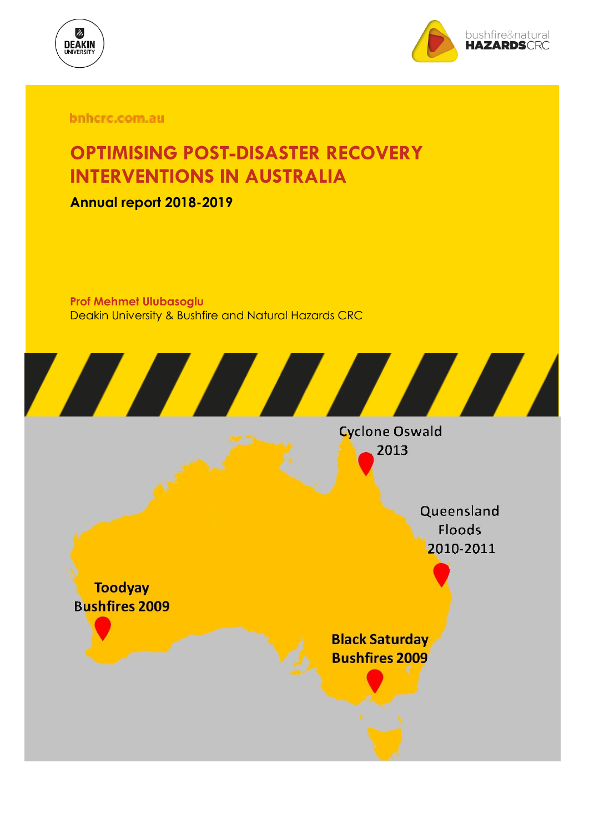



bnhcrc.com.au

**Toodyay Bushfires 2009** 

# **OPTIMISING POST-DISASTER RECOVERY INTERVENTIONS IN AUSTRALIA**

**Annual report 2018-2019**

**Prof Mehmet Ulubasoglu**  Deakin University & Bushfire and Natural Hazards CRC

> **Cyclone Oswald** 2013

> > Queensland **Floods** 2010-2011

**Black Saturday Bushfires 2009**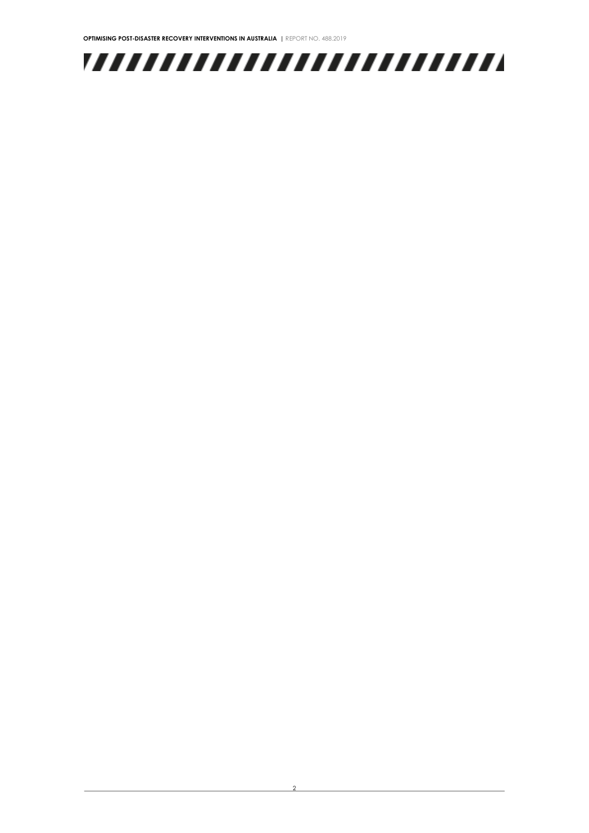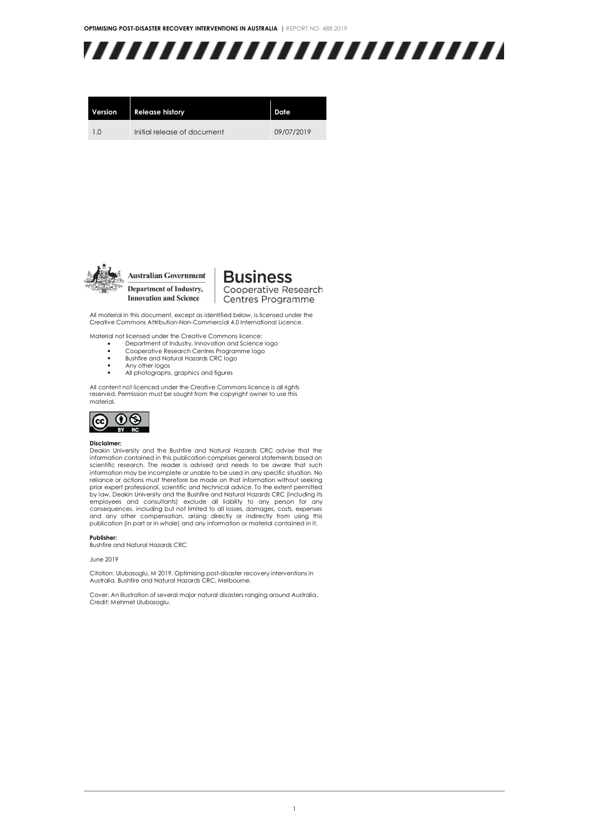

| Version        | <b>Release history</b>      | Date       |
|----------------|-----------------------------|------------|
| 1 <sub>0</sub> | Initial release of document | 09/07/2019 |



**Australian Government** Department of Industry, **Innovation and Science** 

**Business** Cooperative Research Centres Programme

All material in this document, except as identified below, is licensed under the Creative Commons Attribution-Non-Commercial 4.0 International Licence.

Material not licensed under the Creative Commons licence:

- Department of Industry, Innovation and Science logo Cooperative Research Centres Programme logo
- Bushfire and Natural Hazards CRC logo
- Any other logos
- All photographs, graphics and figures

All content not licenced under the Creative Commons licence is all rights reserved. Permission must be sought from the copyright owner to use this material.



#### **Disclaimer:**

Deakin University and the Bushfire and Natural Hazards CRC advise that the information contained in this publication comprises general statements based on scientific research. The reader is advised and needs to be aware that such information may be incomplete or unable to be used in any specific situation. No reliance or actions must therefore be made on that information without seeking prior expert professional, scientific and technical advice. To the extent permitted by law, Deakin University and the Bushfire and Natural Hazards CRC (including its employees and consultants) exclude all liability to any person for any<br>consequences, including-but-not-limited-to-all-losses, damages, costs, expenses<br>and any other compensation, arising directly or indirectly from using t publication (in part or in whole) and any information or material contained in it.

#### **Publisher:**

Bushfire and Natural Hazards CRC

June 2019

Citation: Ulubasoglu, M 2019. Optimising post-disaster recovery interventions in Australia, Bushfire and Natural Hazards CRC, Melbourne.

Cover: An illustration of several major natural disasters ranging around Australia. Credit: Mehmet Ulubasoglu.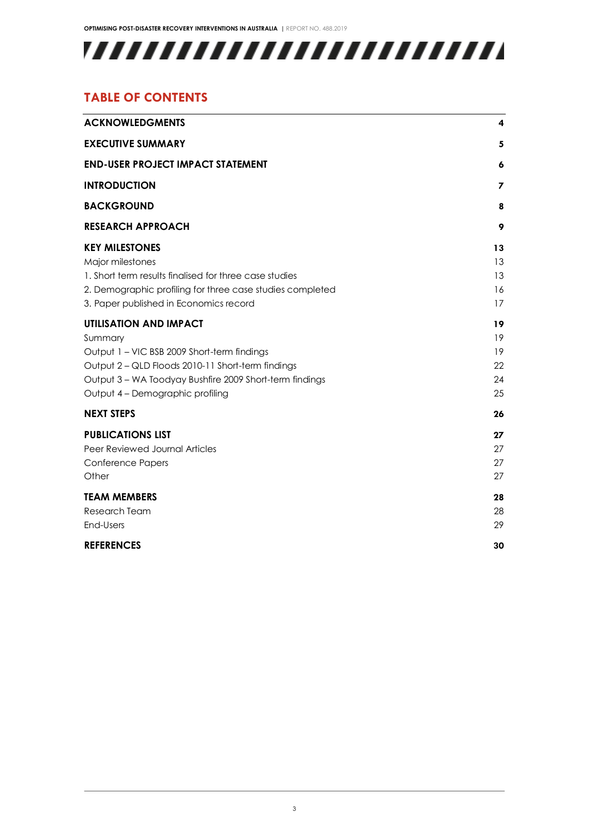# 

## **TABLE OF CONTENTS**

| <b>ACKNOWLEDGMENTS</b>                                                                                                                                                                                                                      | 4                                |
|---------------------------------------------------------------------------------------------------------------------------------------------------------------------------------------------------------------------------------------------|----------------------------------|
| <b>EXECUTIVE SUMMARY</b>                                                                                                                                                                                                                    | 5                                |
| <b>END-USER PROJECT IMPACT STATEMENT</b>                                                                                                                                                                                                    | 6                                |
| <b>INTRODUCTION</b>                                                                                                                                                                                                                         | $\overline{\mathbf{z}}$          |
| <b>BACKGROUND</b>                                                                                                                                                                                                                           | 8                                |
| <b>RESEARCH APPROACH</b>                                                                                                                                                                                                                    | 9                                |
| <b>KEY MILESTONES</b><br>Major milestones<br>1. Short term results finalised for three case studies<br>2. Demographic profiling for three case studies completed<br>3. Paper published in Economics record                                  | 13<br>13<br>13<br>16<br>17       |
| <b>UTILISATION AND IMPACT</b><br>Summary<br>Output 1 - VIC BSB 2009 Short-term findings<br>Output 2 - QLD Floods 2010-11 Short-term findings<br>Output 3 - WA Toodyay Bushfire 2009 Short-term findings<br>Output 4 - Demographic profiling | 19<br>19<br>19<br>22<br>24<br>25 |
| <b>NEXT STEPS</b>                                                                                                                                                                                                                           | 26                               |
| <b>PUBLICATIONS LIST</b><br>Peer Reviewed Journal Articles<br><b>Conference Papers</b><br>Other                                                                                                                                             | 27<br>27<br>27<br>27             |
| <b>TEAM MEMBERS</b><br>Research Team<br>End-Users<br><b>REFERENCES</b>                                                                                                                                                                      | 28<br>28<br>29<br>30             |
|                                                                                                                                                                                                                                             |                                  |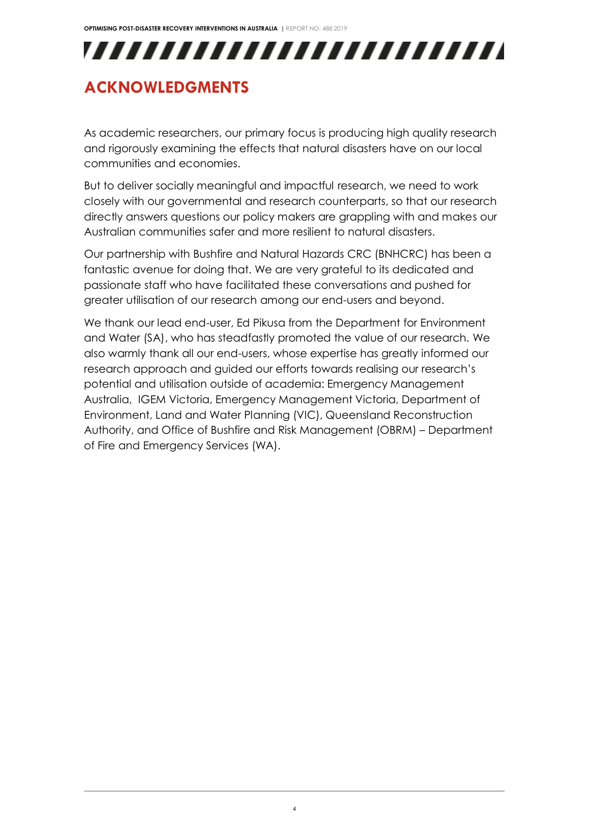# <span id="page-4-0"></span>**ACKNOWLEDGMENTS**

As academic researchers, our primary focus is producing high quality research and rigorously examining the effects that natural disasters have on our local communities and economies.

But to deliver socially meaningful and impactful research, we need to work closely with our governmental and research counterparts, so that our research directly answers questions our policy makers are grappling with and makes our Australian communities safer and more resilient to natural disasters.

Our partnership with Bushfire and Natural Hazards CRC (BNHCRC) has been a fantastic avenue for doing that. We are very grateful to its dedicated and passionate staff who have facilitated these conversations and pushed for greater utilisation of our research among our end-users and beyond.

We thank our lead end-user, Ed Pikusa from the Department for Environment and Water (SA), who has steadfastly promoted the value of our research. We also warmly thank all our end-users, whose expertise has greatly informed our research approach and guided our efforts towards realising our research's potential and utilisation outside of academia: Emergency Management Australia, IGEM Victoria, Emergency Management Victoria, Department of Environment, Land and Water Planning (VIC), Queensland Reconstruction Authority, and Office of Bushfire and Risk Management (OBRM) – Department of Fire and Emergency Services (WA).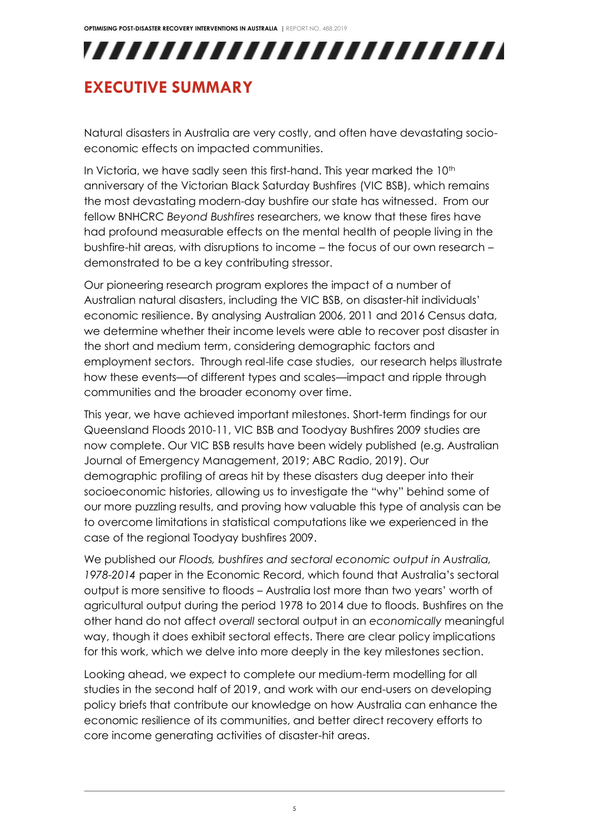## <span id="page-5-0"></span>**EXECUTIVE SUMMARY**

Natural disasters in Australia are very costly, and often have devastating socioeconomic effects on impacted communities.

In Victoria, we have sadly seen this first-hand. This year marked the 10<sup>th</sup> anniversary of the Victorian Black Saturday Bushfires (VIC BSB), which remains the most devastating modern-day bushfire our state has witnessed. From our fellow BNHCRC *Beyond Bushfires* researchers, we know that these fires have had profound measurable effects on the mental health of people living in the bushfire-hit areas, with disruptions to income – the focus of our own research – demonstrated to be a key contributing stressor.

Our pioneering research program explores the impact of a number of Australian natural disasters, including the VIC BSB, on disaster-hit individuals' economic resilience. By analysing Australian 2006, 2011 and 2016 Census data, we determine whether their income levels were able to recover post disaster in the short and medium term, considering demographic factors and employment sectors. Through real-life case studies, our research helps illustrate how these events—of different types and scales—impact and ripple through communities and the broader economy over time.

This year, we have achieved important milestones. Short-term findings for our Queensland Floods 2010-11, VIC BSB and Toodyay Bushfires 2009 studies are now complete. Our VIC BSB results have been widely published (e.g. Australian Journal of Emergency Management, 2019; ABC Radio, 2019). Our demographic profiling of areas hit by these disasters dug deeper into their socioeconomic histories, allowing us to investigate the "why" behind some of our more puzzling results, and proving how valuable this type of analysis can be to overcome limitations in statistical computations like we experienced in the case of the regional Toodyay bushfires 2009.

We published our *Floods, bushfires and sectoral economic output in Australia, 1978-2014* paper in the Economic Record, which found that Australia's sectoral output is more sensitive to floods – Australia lost more than two years' worth of agricultural output during the period 1978 to 2014 due to floods. Bushfires on the other hand do not affect *overall* sectoral output in an *economically* meaningful way, though it does exhibit sectoral effects. There are clear policy implications for this work, which we delve into more deeply in the key milestones section.

Looking ahead, we expect to complete our medium-term modelling for all studies in the second half of 2019, and work with our end-users on developing policy briefs that contribute our knowledge on how Australia can enhance the economic resilience of its communities, and better direct recovery efforts to core income generating activities of disaster-hit areas.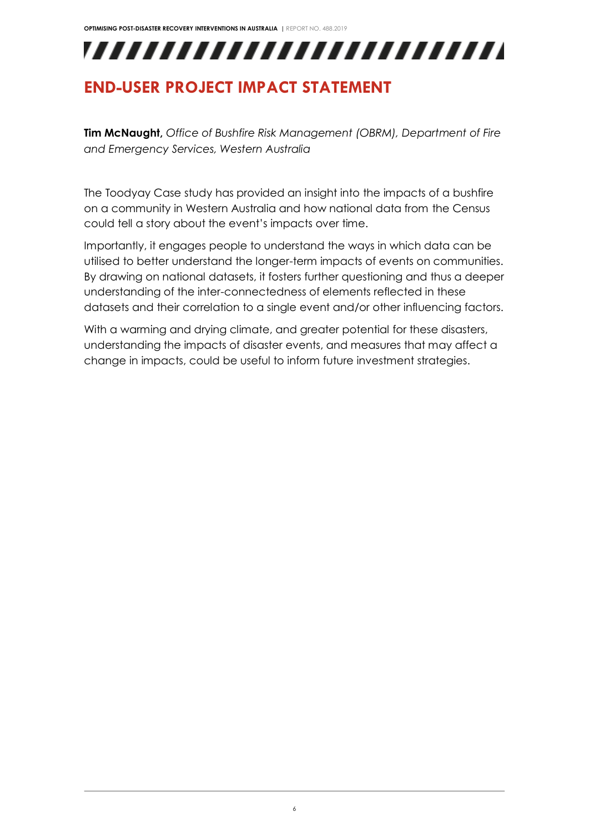## <span id="page-6-0"></span>**END-USER PROJECT IMPACT STATEMENT**

**Tim McNaught,** *Office of Bushfire Risk Management (OBRM), Department of Fire and Emergency Services, Western Australia*

The Toodyay Case study has provided an insight into the impacts of a bushfire on a community in Western Australia and how national data from the Census could tell a story about the event's impacts over time.

Importantly, it engages people to understand the ways in which data can be utilised to better understand the longer-term impacts of events on communities. By drawing on national datasets, it fosters further questioning and thus a deeper understanding of the inter-connectedness of elements reflected in these datasets and their correlation to a single event and/or other influencing factors.

With a warming and drying climate, and greater potential for these disasters, understanding the impacts of disaster events, and measures that may affect a change in impacts, could be useful to inform future investment strategies.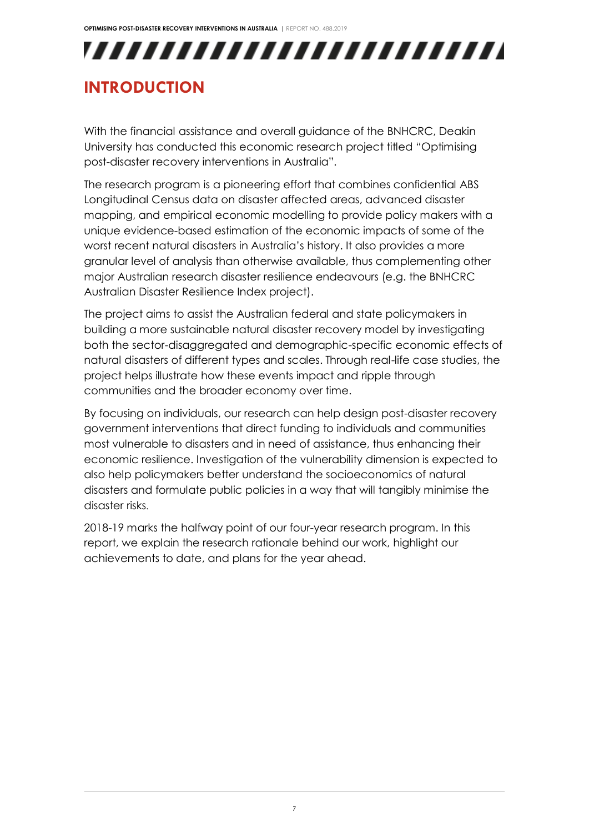# <span id="page-7-0"></span>**INTRODUCTION**

With the financial assistance and overall guidance of the BNHCRC, Deakin University has conducted this economic research project titled "Optimising post-disaster recovery interventions in Australia".

The research program is a pioneering effort that combines confidential ABS Longitudinal Census data on disaster affected areas, advanced disaster mapping, and empirical economic modelling to provide policy makers with a unique evidence-based estimation of the economic impacts of some of the worst recent natural disasters in Australia's history. It also provides a more granular level of analysis than otherwise available, thus complementing other major Australian research disaster resilience endeavours (e.g. the BNHCRC Australian Disaster Resilience Index project).

The project aims to assist the Australian federal and state policymakers in building a more sustainable natural disaster recovery model by investigating both the sector-disaggregated and demographic-specific economic effects of natural disasters of different types and scales. Through real-life case studies, the project helps illustrate how these events impact and ripple through communities and the broader economy over time.

By focusing on individuals, our research can help design post-disaster recovery government interventions that direct funding to individuals and communities most vulnerable to disasters and in need of assistance, thus enhancing their economic resilience. Investigation of the vulnerability dimension is expected to also help policymakers better understand the socioeconomics of natural disasters and formulate public policies in a way that will tangibly minimise the disaster risks.

2018-19 marks the halfway point of our four-year research program. In this report, we explain the research rationale behind our work, highlight our achievements to date, and plans for the year ahead.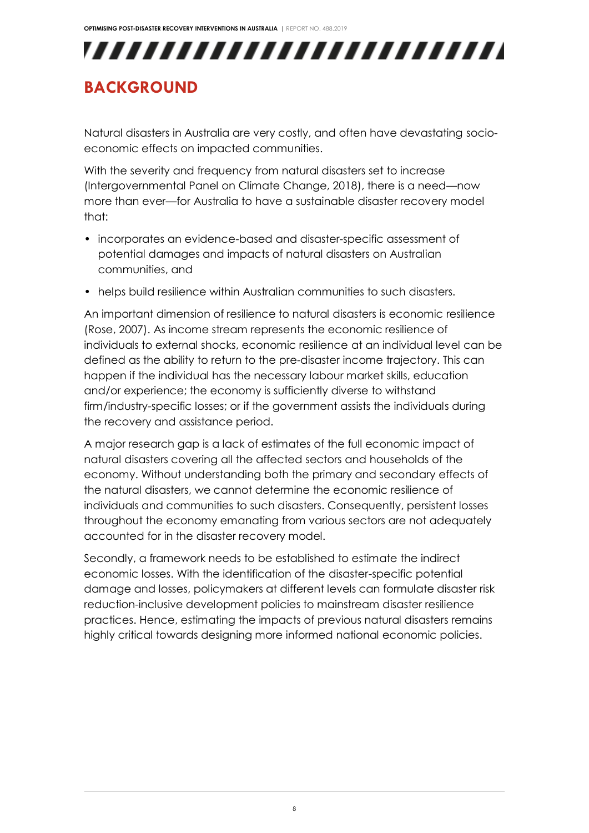# <span id="page-8-0"></span>**BACKGROUND**

Natural disasters in Australia are very costly, and often have devastating socioeconomic effects on impacted communities.

With the severity and frequency from natural disasters set to increase (Intergovernmental Panel on Climate Change, 2018), there is a need—now more than ever—for Australia to have a sustainable disaster recovery model that:

- incorporates an evidence-based and disaster-specific assessment of potential damages and impacts of natural disasters on Australian communities, and
- helps build resilience within Australian communities to such disasters.

An important dimension of resilience to natural disasters is economic resilience (Rose, 2007). As income stream represents the economic resilience of individuals to external shocks, economic resilience at an individual level can be defined as the ability to return to the pre-disaster income trajectory. This can happen if the individual has the necessary labour market skills, education and/or experience; the economy is sufficiently diverse to withstand firm/industry-specific losses; or if the government assists the individuals during the recovery and assistance period.

A major research gap is a lack of estimates of the full economic impact of natural disasters covering all the affected sectors and households of the economy. Without understanding both the primary and secondary effects of the natural disasters, we cannot determine the economic resilience of individuals and communities to such disasters. Consequently, persistent losses throughout the economy emanating from various sectors are not adequately accounted for in the disaster recovery model.

Secondly, a framework needs to be established to estimate the indirect economic losses. With the identification of the disaster-specific potential damage and losses, policymakers at different levels can formulate disaster risk reduction-inclusive development policies to mainstream disaster resilience practices. Hence, estimating the impacts of previous natural disasters remains highly critical towards designing more informed national economic policies.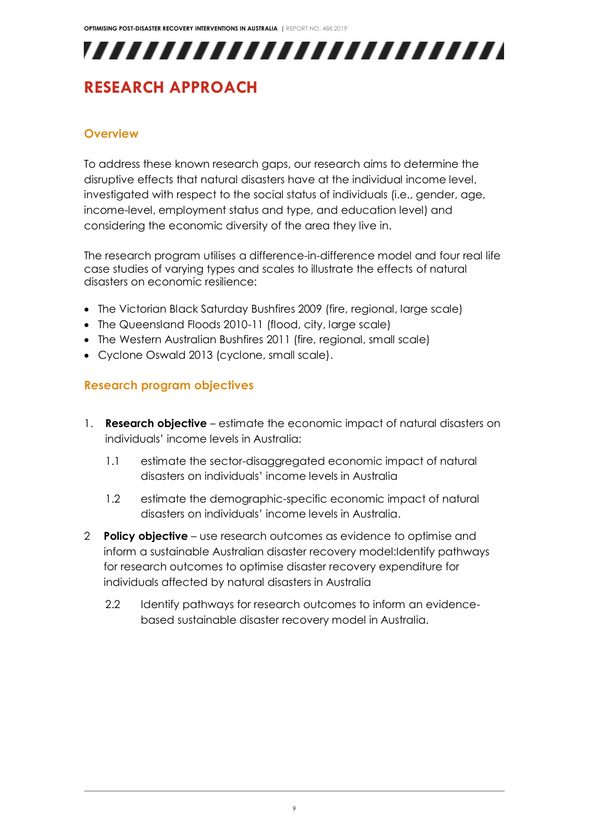# <span id="page-9-0"></span>**RESEARCH APPROACH**

### **Overview**

To address these known research gaps, our research aims to determine the disruptive effects that natural disasters have at the individual income level, investigated with respect to the social status of individuals (i.e., gender, age, income-level, employment status and type, and education level) and considering the economic diversity of the area they live in.

The research program utilises a difference-in-difference model and four real life case studies of varying types and scales to illustrate the effects of natural disasters on economic resilience:

- The Victorian Black Saturday Bushfires 2009 (fire, regional, large scale)
- The Queensland Floods 2010-11 (flood, city, large scale)
- The Western Australian Bushfires 2011 (fire, regional, small scale)
- Cyclone Oswald 2013 (cyclone, small scale).

### **Research program objectives**

- 1. **Research objective** estimate the economic impact of natural disasters on individuals' income levels in Australia:
	- 1.1 estimate the sector-disaggregated economic impact of natural disasters on individuals' income levels in Australia
	- 1.2 estimate the demographic-specific economic impact of natural disasters on individuals' income levels in Australia.
- 2 **Policy objective** use research outcomes as evidence to optimise and inform a sustainable Australian disaster recovery model:Identify pathways for research outcomes to optimise disaster recovery expenditure for individuals affected by natural disasters in Australia
	- 2.2 Identify pathways for research outcomes to inform an evidencebased sustainable disaster recovery model in Australia.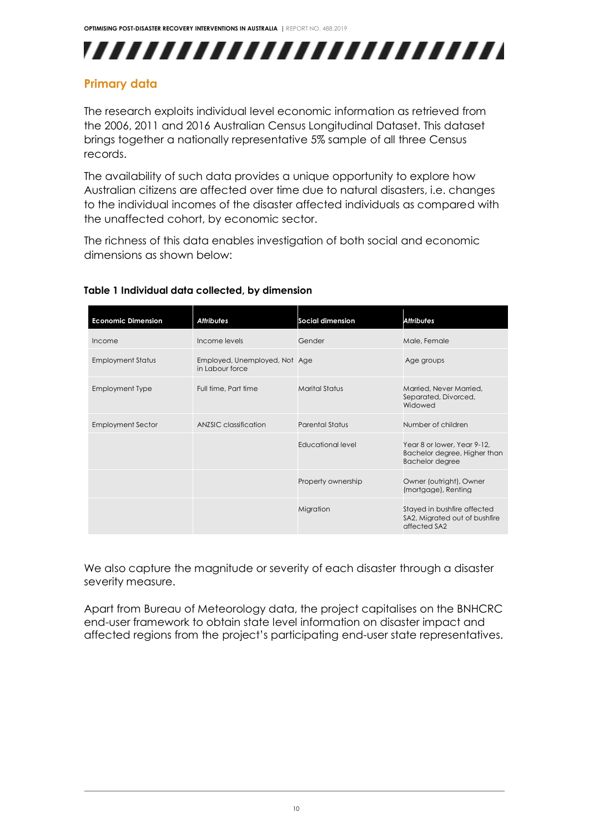### **Primary data**

The research exploits individual level economic information as retrieved from the 2006, 2011 and 2016 Australian Census Longitudinal Dataset. This dataset brings together a nationally representative 5% sample of all three Census records.

The availability of such data provides a unique opportunity to explore how Australian citizens are affected over time due to natural disasters, i.e. changes to the individual incomes of the disaster affected individuals as compared with the unaffected cohort, by economic sector.

The richness of this data enables investigation of both social and economic dimensions as shown below:

| <b>Economic Dimension</b> | <b>Attributes</b>                                | <b>Social dimension</b> | <b>Attributes</b>                                                                     |
|---------------------------|--------------------------------------------------|-------------------------|---------------------------------------------------------------------------------------|
| Income                    | Income levels                                    | Gender                  | Male, Female                                                                          |
| <b>Employment Status</b>  | Employed, Unemployed, Not Age<br>in Labour force |                         | Age groups                                                                            |
| <b>Employment Type</b>    | Full time, Part time                             | Marital Status          | Married, Never Married,<br>Separated, Divorced,<br>Widowed                            |
| <b>Employment Sector</b>  | ANZSIC classification                            | <b>Parental Status</b>  | Number of children                                                                    |
|                           |                                                  | Educational level       | Year 8 or lower, Year 9-12,<br>Bachelor degree, Higher than<br><b>Bachelor degree</b> |
|                           |                                                  | Property ownership      | Owner (outright), Owner<br>(mortgage), Renting                                        |
|                           |                                                  | Migration               | Stayed in bushfire affected<br>SA2, Migrated out of bushfire<br>affected SA2          |

#### **Table 1 Individual data collected, by dimension**

We also capture the magnitude or severity of each disaster through a disaster severity measure.

Apart from Bureau of Meteorology data, the project capitalises on the BNHCRC end-user framework to obtain state level information on disaster impact and affected regions from the project's participating end-user state representatives.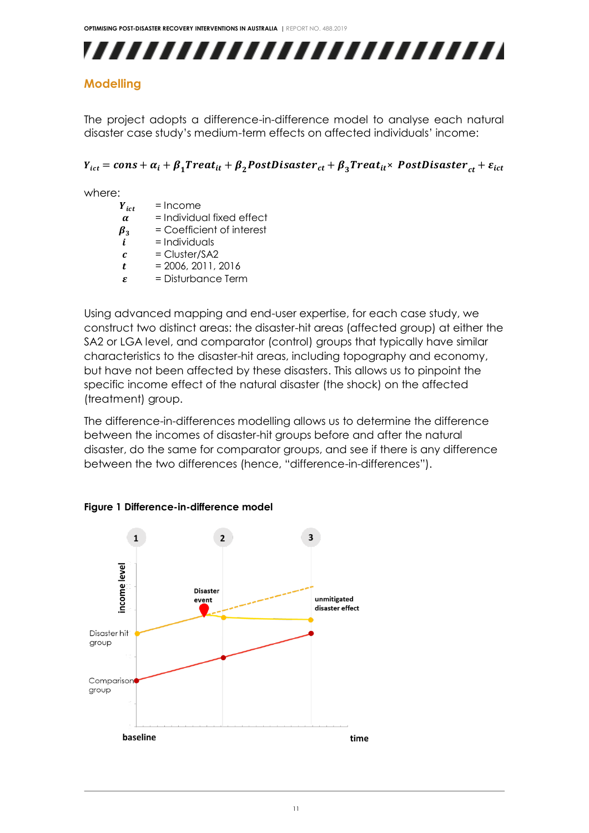### **Modelling**

The project adopts a difference-in-difference model to analyse each natural disaster case study's medium-term effects on affected individuals' income:

## $Y_{ict} = const + \alpha_{i} + \beta_{1} Treat_{it} + \beta_{2} PostDisaster_{ct} + \beta_{3} Treat_{it} \times PostDisaster_{ct} + \varepsilon_{ict}$

where:

| $Y_{ict}$       | $=$ Income                |
|-----------------|---------------------------|
| $\alpha$        | = Individual fixed effect |
| $\pmb{\beta}_3$ | = Coefficient of interest |
| i               | $=$ Individuals           |
| $\mathcal{C}$   | $=$ Cluster/SA2           |
| t.              | $= 2006, 2011, 2016$      |
| ε               | = Disturbance Term        |
|                 |                           |

Using advanced mapping and end-user expertise, for each case study, we construct two distinct areas: the disaster-hit areas (affected group) at either the SA2 or LGA level, and comparator (control) groups that typically have similar characteristics to the disaster-hit areas, including topography and economy, but have not been affected by these disasters. This allows us to pinpoint the specific income effect of the natural disaster (the shock) on the affected (treatment) group.

The difference-in-differences modelling allows us to determine the difference between the incomes of disaster-hit groups before and after the natural disaster, do the same for comparator groups, and see if there is any difference between the two differences (hence, "difference-in-differences").



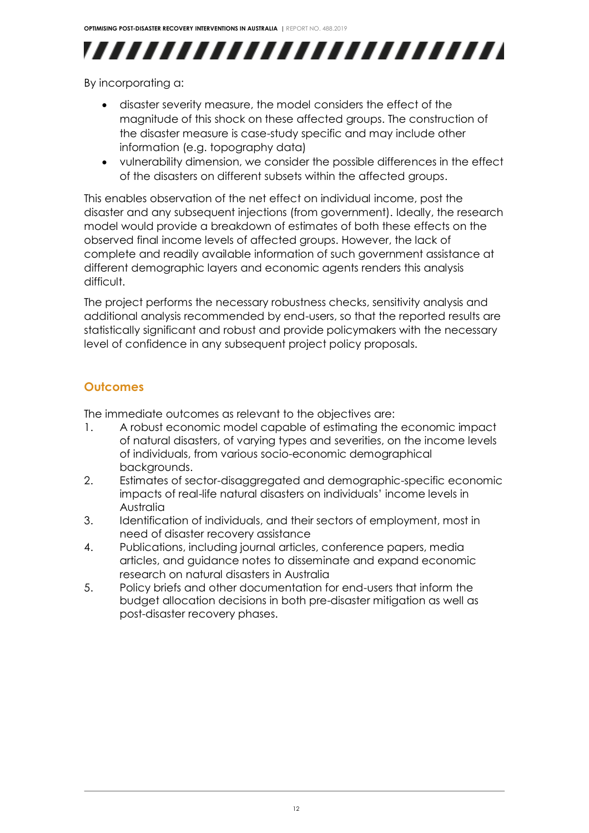# ,,,,,,,,,,,,,,,,,,,,,,,,,

By incorporating a:

- disaster severity measure, the model considers the effect of the magnitude of this shock on these affected groups. The construction of the disaster measure is case-study specific and may include other information (e.g. topography data)
- vulnerability dimension, we consider the possible differences in the effect of the disasters on different subsets within the affected groups.

This enables observation of the net effect on individual income, post the disaster and any subsequent injections (from government). Ideally, the research model would provide a breakdown of estimates of both these effects on the observed final income levels of affected groups. However, the lack of complete and readily available information of such government assistance at different demographic layers and economic agents renders this analysis difficult.

The project performs the necessary robustness checks, sensitivity analysis and additional analysis recommended by end-users, so that the reported results are statistically significant and robust and provide policymakers with the necessary level of confidence in any subsequent project policy proposals.

### **Outcomes**

The immediate outcomes as relevant to the objectives are:

- 1. A robust economic model capable of estimating the economic impact of natural disasters, of varying types and severities, on the income levels of individuals, from various socio-economic demographical backgrounds.
- 2. Estimates of sector-disaggregated and demographic-specific economic impacts of real-life natural disasters on individuals' income levels in Australia
- 3. Identification of individuals, and their sectors of employment, most in need of disaster recovery assistance
- 4. Publications, including journal articles, conference papers, media articles, and guidance notes to disseminate and expand economic research on natural disasters in Australia
- 5. Policy briefs and other documentation for end-users that inform the budget allocation decisions in both pre-disaster mitigation as well as post-disaster recovery phases.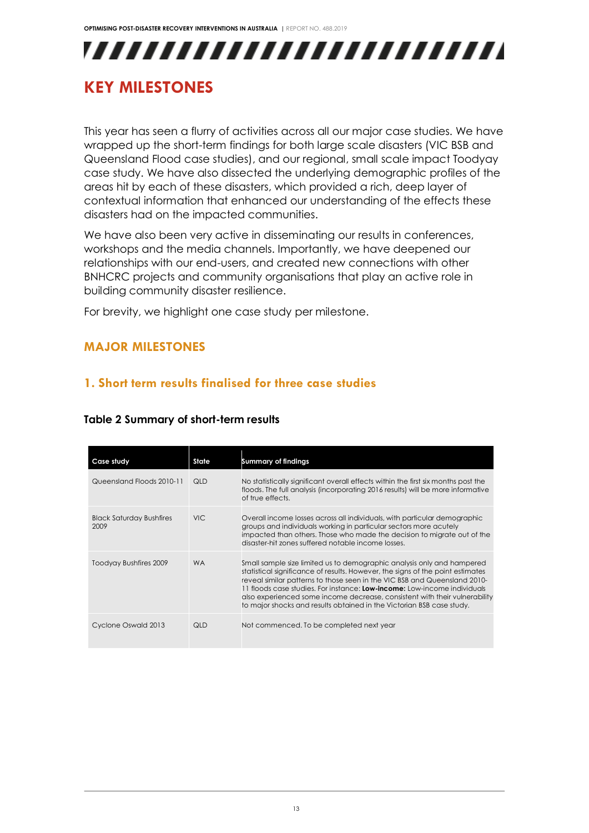## <span id="page-13-0"></span>**KEY MILESTONES**

This year has seen a flurry of activities across all our major case studies. We have wrapped up the short-term findings for both large scale disasters (VIC BSB and Queensland Flood case studies), and our regional, small scale impact Toodyay case study. We have also dissected the underlying demographic profiles of the areas hit by each of these disasters, which provided a rich, deep layer of contextual information that enhanced our understanding of the effects these disasters had on the impacted communities.

We have also been very active in disseminating our results in conferences, workshops and the media channels. Importantly, we have deepened our relationships with our end-users, and created new connections with other BNHCRC projects and community organisations that play an active role in building community disaster resilience.

<span id="page-13-1"></span>For brevity, we highlight one case study per milestone.

#### <span id="page-13-2"></span>**MAJOR MILESTONES**

#### **1. Short term results finalised for three case studies**

#### **Table 2 Summary of short-term results**

| Case study                              | State     | <b>Summary of findings</b>                                                                                                                                                                                                                                                                                                                                                                                                                                                      |
|-----------------------------------------|-----------|---------------------------------------------------------------------------------------------------------------------------------------------------------------------------------------------------------------------------------------------------------------------------------------------------------------------------------------------------------------------------------------------------------------------------------------------------------------------------------|
| Queensland Floods 2010-11               | QLD       | No statistically significant overall effects within the first six months post the<br>floods. The full analysis (incorporating 2016 results) will be more informative<br>of true effects.                                                                                                                                                                                                                                                                                        |
| <b>Black Saturday Bushfires</b><br>2009 | VIC.      | Overall income losses across all individuals, with particular demographic<br>groups and individuals working in particular sectors more acutely<br>impacted than others. Those who made the decision to migrate out of the<br>disaster-hit zones suffered notable income losses.                                                                                                                                                                                                 |
| <b>Toodyay Bushfires 2009</b>           | <b>WA</b> | Small sample size limited us to demographic analysis only and hampered<br>statistical significance of results. However, the signs of the point estimates<br>reveal similar patterns to those seen in the VIC BSB and Queensland 2010-<br>11 floods case studies. For instance: <b>Low-income:</b> Low-income individuals<br>also experienced some income decrease, consistent with their vulnerability<br>to major shocks and results obtained in the Victorian BSB case study. |
| Cyclone Oswald 2013                     | QLD       | Not commenced. To be completed next year                                                                                                                                                                                                                                                                                                                                                                                                                                        |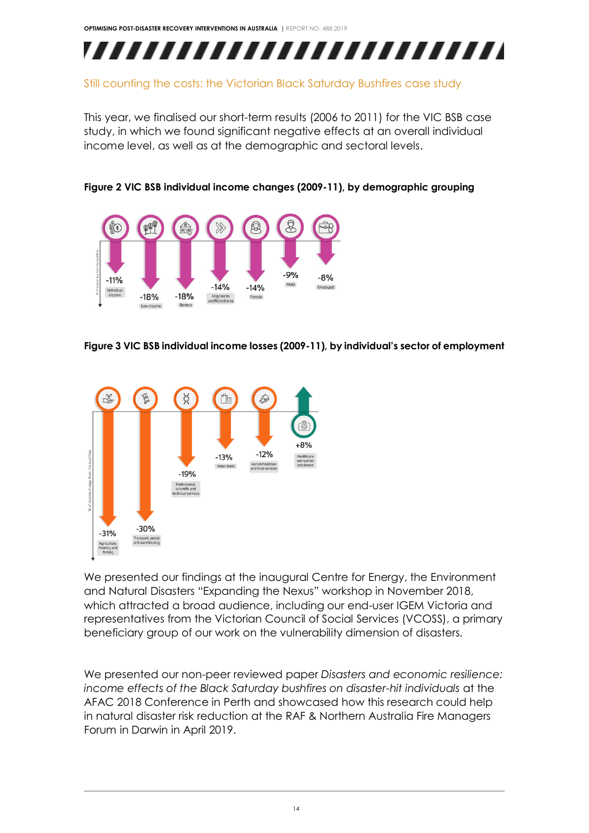Still counting the costs: the Victorian Black Saturday Bushfires case study

This year, we finalised our short-term results (2006 to 2011) for the VIC BSB case study, in which we found significant negative effects at an overall individual income level, as well as at the demographic and sectoral levels.



**Figure 2 VIC BSB individual income changes (2009-11), by demographic grouping**





We presented our findings at the inaugural Centre for Energy, the Environment and Natural Disasters "Expanding the Nexus" workshop in November 2018, which attracted a broad audience, including our end-user IGEM Victoria and representatives from the Victorian Council of Social Services (VCOSS), a primary beneficiary group of our work on the vulnerability dimension of disasters.

We presented our non-peer reviewed paper *Disasters and economic resilience: income effects of the Black Saturday bushfires on disaster-hit individuals* at the AFAC 2018 Conference in Perth and showcased how this research could help in natural disaster risk reduction at the RAF & Northern Australia Fire Managers Forum in Darwin in April 2019.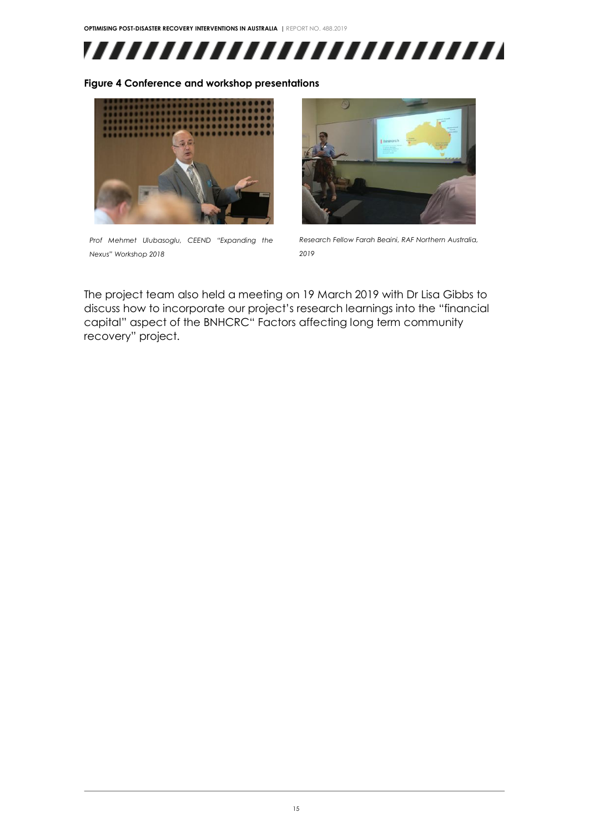

**Figure 4 Conference and workshop presentations**



*Prof Mehmet Ulubasoglu, CEEND "Expanding the Nexus" Workshop 2018*



*Research Fellow Farah Beaini, RAF Northern Australia, 2019*

The project team also held a meeting on 19 March 2019 with Dr Lisa Gibbs to discuss how to incorporate our project's research learnings into the "financial capital" aspect of the BNHCRC" Factors affecting long term community recovery" project.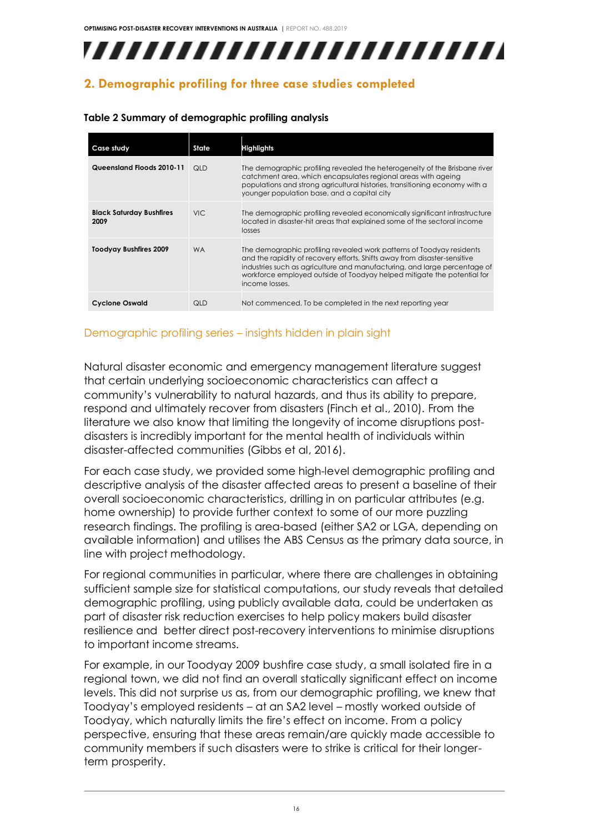#### <span id="page-16-0"></span>**2. Demographic profiling for three case studies completed**

#### **Table 2 Summary of demographic profiling analysis**

| Case study                              | State      | <b>Highlights</b>                                                                                                                                                                                                                                                                                                            |
|-----------------------------------------|------------|------------------------------------------------------------------------------------------------------------------------------------------------------------------------------------------------------------------------------------------------------------------------------------------------------------------------------|
| Queensland Floods 2010-11               | <b>QLD</b> | The demographic profiling revealed the heterogeneity of the Brisbane river<br>catchment area, which encapsulates regional areas with ageing<br>populations and strong agricultural histories, transitioning economy with a<br>younger population base, and a capital city                                                    |
| <b>Black Saturday Bushfires</b><br>2009 | VIC.       | The demographic profiling revealed economically significant infrastructure<br>located in disaster-hit areas that explained some of the sectoral income<br>losses                                                                                                                                                             |
| <b>Toodyay Bushfires 2009</b>           | <b>WA</b>  | The demographic profiling revealed work patterns of Toodyay residents<br>and the rapidity of recovery efforts. Shifts away from disaster-sensitive<br>industries such as agriculture and manufacturing, and large percentage of<br>workforce employed outside of Toodyay helped mitigate the potential for<br>income losses. |
| <b>Cyclone Oswald</b>                   | QLD        | Not commenced. To be completed in the next reporting year                                                                                                                                                                                                                                                                    |

#### Demographic profiling series – insights hidden in plain sight

Natural disaster economic and emergency management literature suggest that certain underlying socioeconomic characteristics can affect a community's vulnerability to natural hazards, and thus its ability to prepare, respond and ultimately recover from disasters (Finch et al., 2010). From the literature we also know that limiting the longevity of income disruptions postdisasters is incredibly important for the mental health of individuals within disaster-affected communities (Gibbs et al, 2016).

For each case study, we provided some high-level demographic profiling and descriptive analysis of the disaster affected areas to present a baseline of their overall socioeconomic characteristics, drilling in on particular attributes (e.g. home ownership) to provide further context to some of our more puzzling research findings. The profiling is area-based (either SA2 or LGA, depending on available information) and utilises the ABS Census as the primary data source, in line with project methodology.

For regional communities in particular, where there are challenges in obtaining sufficient sample size for statistical computations, our study reveals that detailed demographic profiling, using publicly available data, could be undertaken as part of disaster risk reduction exercises to help policy makers build disaster resilience and better direct post-recovery interventions to minimise disruptions to important income streams.

For example, in our Toodyay 2009 bushfire case study, a small isolated fire in a regional town, we did not find an overall statically significant effect on income levels. This did not surprise us as, from our demographic profiling, we knew that Toodyay's employed residents – at an SA2 level – mostly worked outside of Toodyay, which naturally limits the fire's effect on income. From a policy perspective, ensuring that these areas remain/are quickly made accessible to community members if such disasters were to strike is critical for their longerterm prosperity.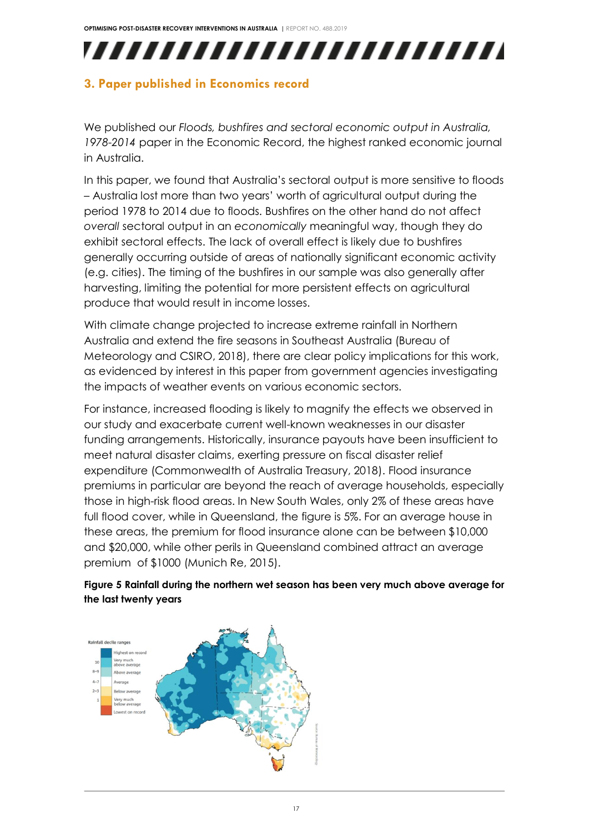### <span id="page-17-0"></span>**3. Paper published in Economics record**

We published our *Floods, bushfires and sectoral economic output in Australia, 1978-2014* paper in the Economic Record, the highest ranked economic journal in Australia.

In this paper, we found that Australia's sectoral output is more sensitive to floods – Australia lost more than two years' worth of agricultural output during the period 1978 to 2014 due to floods. Bushfires on the other hand do not affect *overall* sectoral output in an *economically* meaningful way, though they do exhibit sectoral effects. The lack of overall effect is likely due to bushfires generally occurring outside of areas of nationally significant economic activity (e.g. cities). The timing of the bushfires in our sample was also generally after harvesting, limiting the potential for more persistent effects on agricultural produce that would result in income losses.

With climate change projected to increase extreme rainfall in Northern Australia and extend the fire seasons in Southeast Australia (Bureau of Meteorology and CSIRO, 2018), there are clear policy implications for this work, as evidenced by interest in this paper from government agencies investigating the impacts of weather events on various economic sectors.

For instance, increased flooding is likely to magnify the effects we observed in our study and exacerbate current well-known weaknesses in our disaster funding arrangements. Historically, insurance payouts have been insufficient to meet natural disaster claims, exerting pressure on fiscal disaster relief expenditure (Commonwealth of Australia Treasury, 2018). Flood insurance premiums in particular are beyond the reach of average households, especially those in high-risk flood areas. In New South Wales, only 2% of these areas have full flood cover, while in Queensland, the figure is 5%. For an average house in these areas, the premium for flood insurance alone can be between \$10,000 and \$20,000, while other perils in Queensland combined attract an average premium of \$1000 (Munich Re, 2015).

**Figure 5 Rainfall during the northern wet season has been very much above average for the last twenty years**

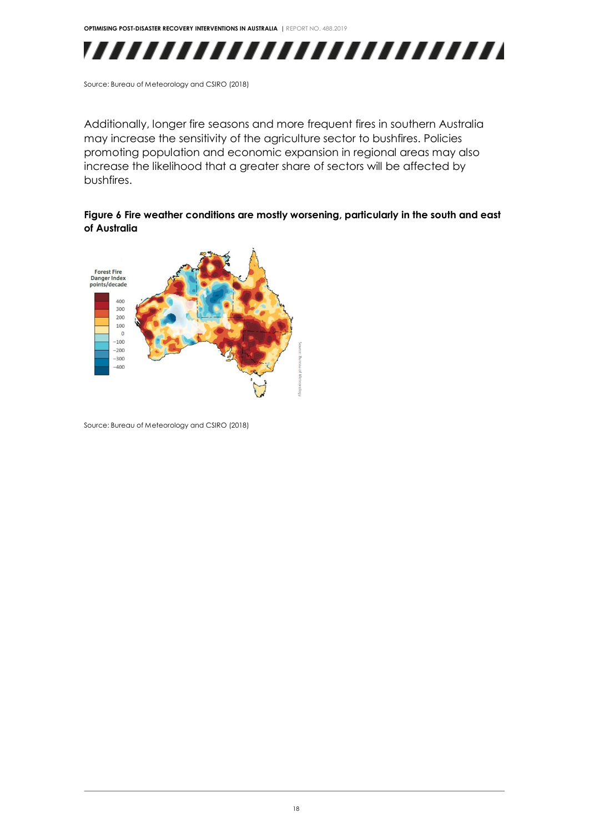

Source: Bureau of Meteorology and CSIRO (2018)

Additionally, longer fire seasons and more frequent fires in southern Australia may increase the sensitivity of the agriculture sector to bushfires. Policies promoting population and economic expansion in regional areas may also increase the likelihood that a greater share of sectors will be affected by bushfires.

#### **Figure 6 Fire weather conditions are mostly worsening, particularly in the south and east of Australia**



Source: Bureau of Meteorology and CSIRO (2018)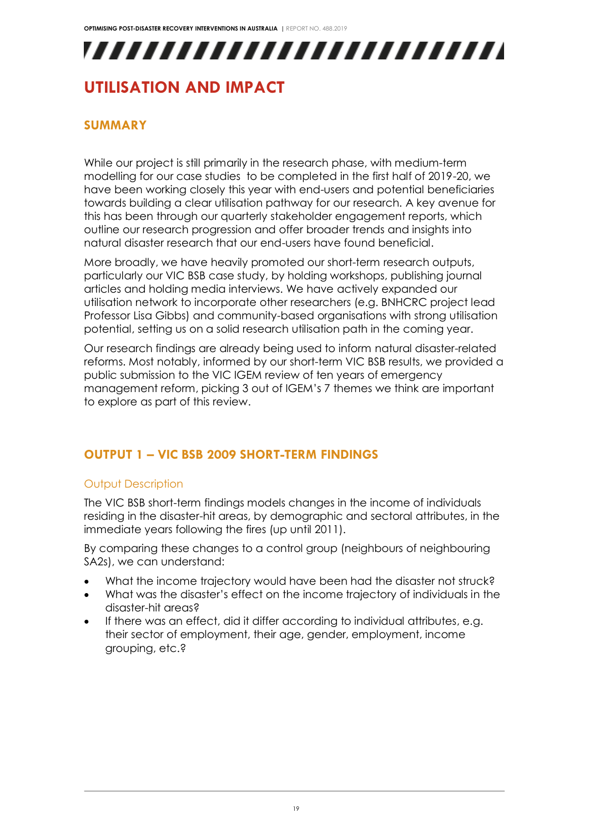# <span id="page-19-1"></span><span id="page-19-0"></span>**UTILISATION AND IMPACT**

### **SUMMARY**

While our project is still primarily in the research phase, with medium-term modelling for our case studies to be completed in the first half of 2019-20, we have been working closely this year with end-users and potential beneficiaries towards building a clear utilisation pathway for our research. A key avenue for this has been through our quarterly stakeholder engagement reports, which outline our research progression and offer broader trends and insights into natural disaster research that our end-users have found beneficial.

More broadly, we have heavily promoted our short-term research outputs, particularly our VIC BSB case study, by holding workshops, publishing journal articles and holding media interviews. We have actively expanded our utilisation network to incorporate other researchers (e.g. BNHCRC project lead Professor Lisa Gibbs) and community-based organisations with strong utilisation potential, setting us on a solid research utilisation path in the coming year.

Our research findings are already being used to inform natural disaster-related reforms. Most notably, informed by our short-term VIC BSB results, we provided a public submission to the VIC IGEM review of ten years of emergency management reform, picking 3 out of IGEM's 7 themes we think are important to explore as part of this review.

### <span id="page-19-2"></span>**OUTPUT 1 – VIC BSB 2009 SHORT-TERM FINDINGS**

#### Output Description

The VIC BSB short-term findings models changes in the income of individuals residing in the disaster-hit areas, by demographic and sectoral attributes, in the immediate years following the fires (up until 2011).

By comparing these changes to a control group (neighbours of neighbouring SA2s), we can understand:

- What the income trajectory would have been had the disaster not struck?
- What was the disaster's effect on the income trajectory of individuals in the disaster-hit areas?
- If there was an effect, did it differ according to individual attributes, e.g. their sector of employment, their age, gender, employment, income grouping, etc.?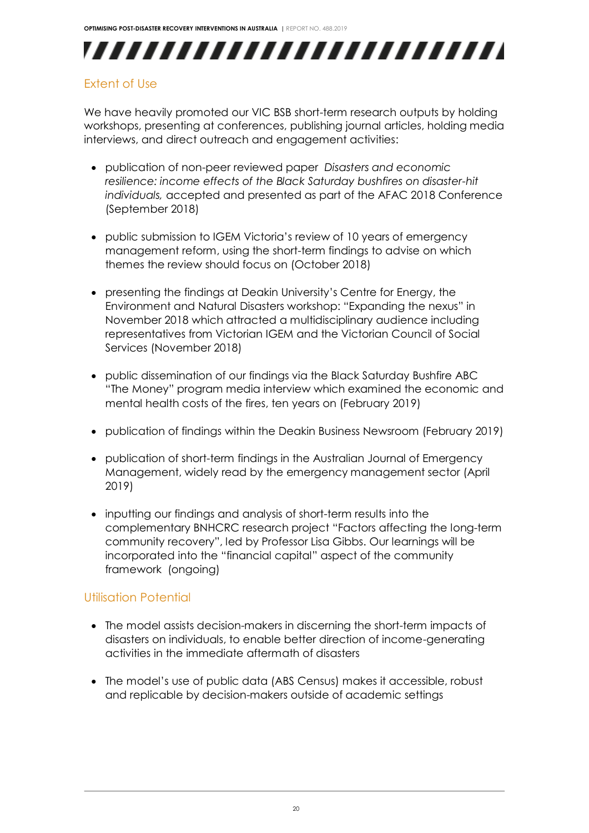### Extent of Use

We have heavily promoted our VIC BSB short-term research outputs by holding workshops, presenting at conferences, publishing journal articles, holding media interviews, and direct outreach and engagement activities:

- publication of non-peer reviewed paper *Disasters and economic resilience: income effects of the Black Saturday bushfires on disaster-hit individuals,* accepted and presented as part of the AFAC 2018 Conference (September 2018)
- public submission to IGEM Victoria's review of 10 years of emergency management reform, using the short-term findings to advise on which themes the review should focus on (October 2018)
- presenting the findings at Deakin University's Centre for Energy, the Environment and Natural Disasters workshop: "Expanding the nexus" in November 2018 which attracted a multidisciplinary audience including representatives from Victorian IGEM and the Victorian Council of Social Services (November 2018)
- public dissemination of our findings via the Black Saturday Bushfire ABC "The Money" program media interview which examined the economic and mental health costs of the fires, ten years on (February 2019)
- publication of findings within the Deakin Business Newsroom (February 2019)
- publication of short-term findings in the Australian Journal of Emergency Management, widely read by the emergency management sector (April 2019)
- inputting our findings and analysis of short-term results into the complementary BNHCRC research project "Factors affecting the long-term community recovery", led by Professor Lisa Gibbs. Our learnings will be incorporated into the "financial capital" aspect of the community framework (ongoing)

### Utilisation Potential

- The model assists decision-makers in discerning the short-term impacts of disasters on individuals, to enable better direction of income-generating activities in the immediate aftermath of disasters
- The model's use of public data (ABS Census) makes it accessible, robust and replicable by decision-makers outside of academic settings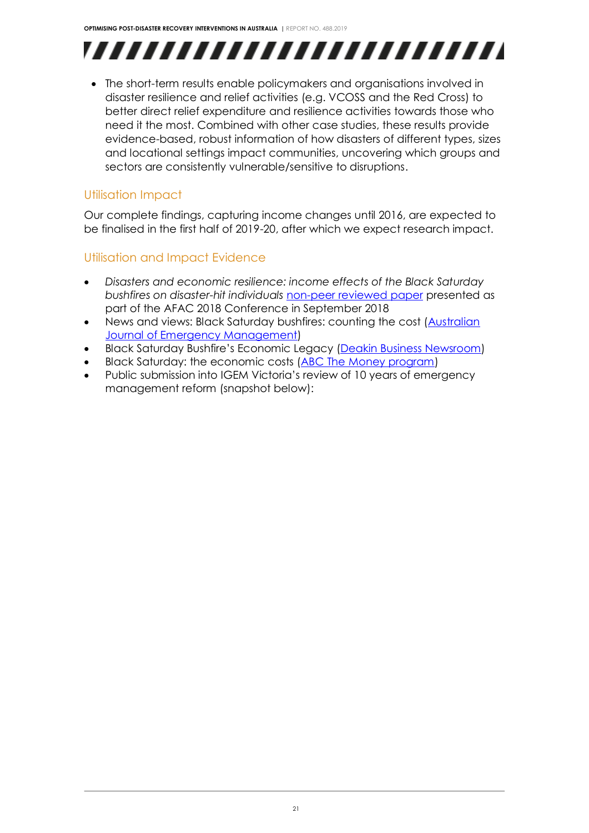# ,,,,,,,,,,,,,,,,,,,,,,,,,

• The short-term results enable policymakers and organisations involved in disaster resilience and relief activities (e.g. VCOSS and the Red Cross) to better direct relief expenditure and resilience activities towards those who need it the most. Combined with other case studies, these results provide evidence-based, robust information of how disasters of different types, sizes and locational settings impact communities, uncovering which groups and sectors are consistently vulnerable/sensitive to disruptions.

### Utilisation Impact

Our complete findings, capturing income changes until 2016, are expected to be finalised in the first half of 2019-20, after which we expect research impact.

### Utilisation and Impact Evidence

- *Disasters and economic resilience: income effects of the Black Saturday bushfires on disaster-hit individuals* [non-peer reviewed paper](https://www.bnhcrc.com.au/file/8611/download?token=NT27330h) presented as part of the AFAC 2018 Conference in September 2018
- News and views: Black Saturday bushfires: counting the cost [\(Australian](https://knowledge.aidr.org.au/resources/ajem-april-2019-black-saturday-bushfires-counting-the-cost/)  [Journal of Emergency Management\)](https://knowledge.aidr.org.au/resources/ajem-april-2019-black-saturday-bushfires-counting-the-cost/)
- Black Saturday Bushfire's Economic Legacy ([Deakin Business Newsroom\)](https://businessnewsroom.deakin.edu.au/articles/black-saturday-bushfires-counting-the-costs)
- Black Saturday: the economic costs [\(ABC The Money program\)](https://www.abc.net.au/radionational/programs/themoney/balck-saturday/10788482)
- Public submission into IGEM Victoria's review of 10 years of emergency management reform (snapshot below):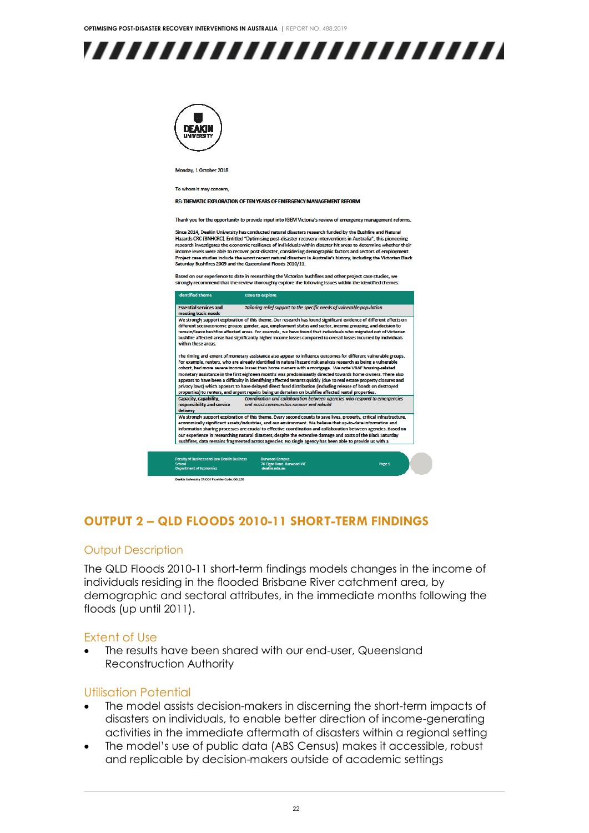



Monday, 1 October 2018

To whom it may concern,

RE: THEMATIC EXPLORATION OF TEN YEARS OF EMERGENCY MANAGEMENT REFORM

hk you for the opportunity to provide input into IGEM Victoria's review of emergency manage

Since 2014. Deakin University has conducted natural disasters research funded by the Bushfire and Natural Since 2014, Deakin University has conducted natural disasters research funded by the Bushfree and Natural<br>Hazards CRC (BNHCRC). Entitled "Optimising post-disaster recovery interventions in Australia", this pioneering<br>resea

Based on our experience to date in researching the Victorian bushfires and other project case studies, we<br>strongly recommend that the review thoroughly explore the following issues within the identified themes

| <b>Essential services and</b><br>meeting basic needs            | Tailoring relief support to the specific needs of vulnerable population                                                                                                                                                                                                                                                                                                                                                                                                                                                                                                                                                                                                                           |
|-----------------------------------------------------------------|---------------------------------------------------------------------------------------------------------------------------------------------------------------------------------------------------------------------------------------------------------------------------------------------------------------------------------------------------------------------------------------------------------------------------------------------------------------------------------------------------------------------------------------------------------------------------------------------------------------------------------------------------------------------------------------------------|
| within these areas                                              | We strongly support exploration of this theme. Our research has found significant evidence of different effects on<br>different socioeconomic groups: gender, age, employment status and sector, income grouping, and decision to<br>remain/leave bushfire affected areas. For example, we have found that individuals who migrated out of Victorian<br>bushfire affected areas had significantly higher income losses compared to overall losses incurred by individuals                                                                                                                                                                                                                         |
|                                                                 | The timing and extent of monetary assistance also appear to influence outcomes for different vulnerable groups.<br>For example, renters, who are already identified in natural hazard risk analysis research as being a vulnerable<br>cohort, had more severe income losses than home owners with a mortgage. We note VBAF housing-related<br>monetary assistance in the first eighteen months was predominantly directed towards home owners. There also<br>appears to have been a difficulty in identifying affected tenants quickly (due to real estate property closures and<br>privacy laws) which appears to have delayed direct fund distribution (including release of bonds on destroyed |
|                                                                 |                                                                                                                                                                                                                                                                                                                                                                                                                                                                                                                                                                                                                                                                                                   |
| Capacity, capability,<br>responsibility and service<br>delivery | properties) to renters, and urgent repairs being undertaken on bushfire affected rental properties.<br>Coordination and collaboration between agencies who respond to emergencies<br>and assist communities recover and rebuild                                                                                                                                                                                                                                                                                                                                                                                                                                                                   |
|                                                                 | We strongly support exploration of this theme. Every second counts to save lives, property, critical infrastructure,<br>economically significant assets/industries, and our environment. We believe that up-to-date information and<br>information sharing processes are crucial to effective coordination and collaboration between agencies. Based on<br>our experience in researching natural disasters, despite the extensive damage and costs of the Black Saturday<br>Bushfires, data remains fragmented across agencies. No single agency has been able to provide us with a                                                                                                               |
| <b>Faculty of Business and Law Deakin Business</b>              | <b>Burwood Campus,</b>                                                                                                                                                                                                                                                                                                                                                                                                                                                                                                                                                                                                                                                                            |

#### <span id="page-22-0"></span>**OUTPUT 2 – QLD FLOODS 2010-11 SHORT-TERM FINDINGS**

#### Output Description

The QLD Floods 2010-11 short-term findings models changes in the income of individuals residing in the flooded Brisbane River catchment area, by demographic and sectoral attributes, in the immediate months following the floods (up until 2011).

#### Extent of Use

The results have been shared with our end-user, Queensland Reconstruction Authority

#### Utilisation Potential

- The model assists decision-makers in discerning the short-term impacts of disasters on individuals, to enable better direction of income-generating activities in the immediate aftermath of disasters within a regional setting
- The model's use of public data (ABS Census) makes it accessible, robust and replicable by decision-makers outside of academic settings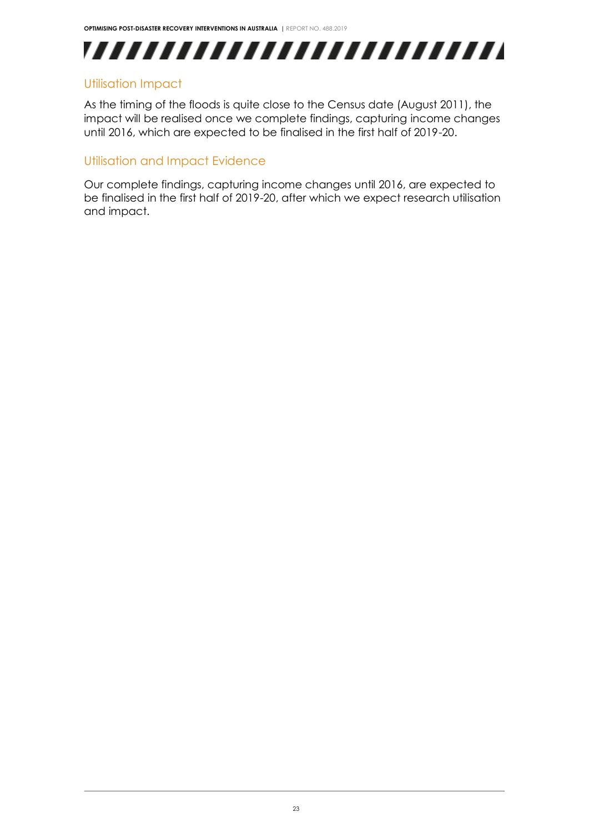

### Utilisation Impact

As the timing of the floods is quite close to the Census date (August 2011), the impact will be realised once we complete findings, capturing income changes until 2016, which are expected to be finalised in the first half of 2019-20.

#### Utilisation and Impact Evidence

Our complete findings, capturing income changes until 2016, are expected to be finalised in the first half of 2019-20, after which we expect research utilisation and impact.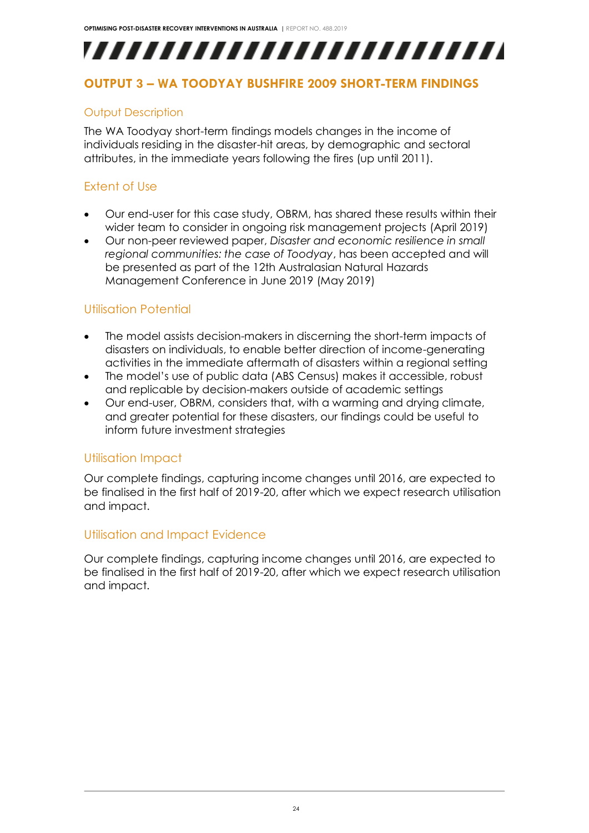### <span id="page-24-0"></span>**OUTPUT 3 – WA TOODYAY BUSHFIRE 2009 SHORT-TERM FINDINGS**

#### Output Description

The WA Toodyay short-term findings models changes in the income of individuals residing in the disaster-hit areas, by demographic and sectoral attributes, in the immediate years following the fires (up until 2011).

### Extent of Use

- Our end-user for this case study, OBRM, has shared these results within their wider team to consider in ongoing risk management projects (April 2019)
- Our non-peer reviewed paper, *Disaster and economic resilience in small regional communities: the case of Toodyay*, has been accepted and will be presented as part of the 12th Australasian Natural Hazards Management Conference in June 2019 (May 2019)

### Utilisation Potential

- The model assists decision-makers in discerning the short-term impacts of disasters on individuals, to enable better direction of income-generating activities in the immediate aftermath of disasters within a regional setting
- The model's use of public data (ABS Census) makes it accessible, robust and replicable by decision-makers outside of academic settings
- Our end-user, OBRM, considers that, with a warming and drying climate, and greater potential for these disasters, our findings could be useful to inform future investment strategies

#### Utilisation Impact

Our complete findings, capturing income changes until 2016, are expected to be finalised in the first half of 2019-20, after which we expect research utilisation and impact.

#### Utilisation and Impact Evidence

Our complete findings, capturing income changes until 2016, are expected to be finalised in the first half of 2019-20, after which we expect research utilisation and impact.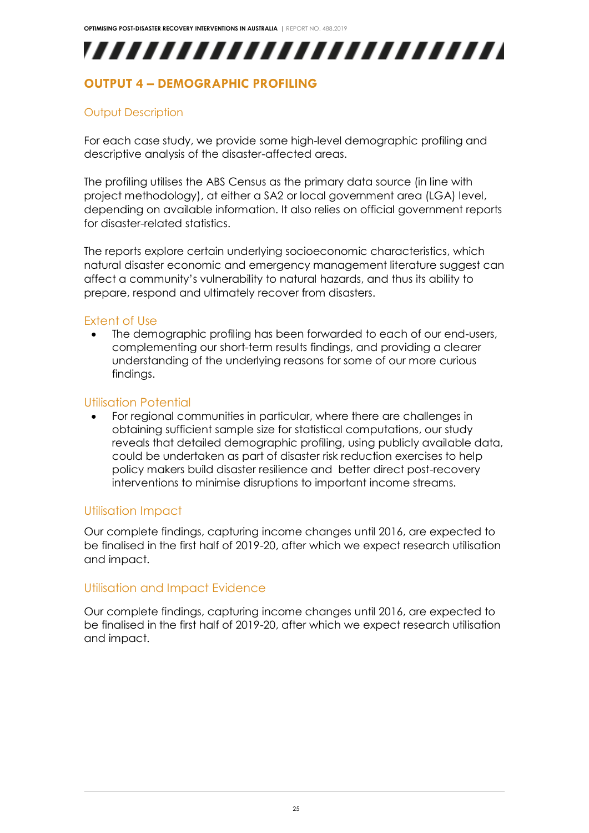## <span id="page-25-0"></span>**OUTPUT 4 – DEMOGRAPHIC PROFILING**

#### Output Description

For each case study, we provide some high-level demographic profiling and descriptive analysis of the disaster-affected areas.

The profiling utilises the ABS Census as the primary data source (in line with project methodology), at either a SA2 or local government area (LGA) level, depending on available information. It also relies on official government reports for disaster-related statistics.

The reports explore certain underlying socioeconomic characteristics, which natural disaster economic and emergency management literature suggest can affect a community's vulnerability to natural hazards, and thus its ability to prepare, respond and ultimately recover from disasters.

#### Extent of Use

• The demographic profiling has been forwarded to each of our end-users, complementing our short-term results findings, and providing a clearer understanding of the underlying reasons for some of our more curious findings.

#### Utilisation Potential

• For regional communities in particular, where there are challenges in obtaining sufficient sample size for statistical computations, our study reveals that detailed demographic profiling, using publicly available data, could be undertaken as part of disaster risk reduction exercises to help policy makers build disaster resilience and better direct post-recovery interventions to minimise disruptions to important income streams.

#### Utilisation Impact

Our complete findings, capturing income changes until 2016, are expected to be finalised in the first half of 2019-20, after which we expect research utilisation and impact.

#### Utilisation and Impact Evidence

Our complete findings, capturing income changes until 2016, are expected to be finalised in the first half of 2019-20, after which we expect research utilisation and impact.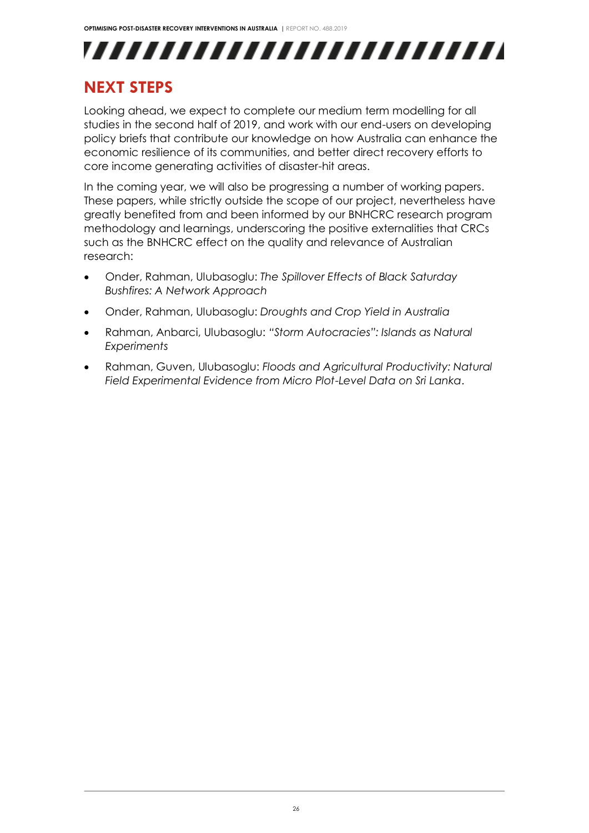# ,,,,,,,,,,,,,,,,,,,,,,,,,

# <span id="page-26-0"></span>**NEXT STEPS**

Looking ahead, we expect to complete our medium term modelling for all studies in the second half of 2019, and work with our end-users on developing policy briefs that contribute our knowledge on how Australia can enhance the economic resilience of its communities, and better direct recovery efforts to core income generating activities of disaster-hit areas.

In the coming year, we will also be progressing a number of working papers. These papers, while strictly outside the scope of our project, nevertheless have greatly benefited from and been informed by our BNHCRC research program methodology and learnings, underscoring the positive externalities that CRCs such as the BNHCRC effect on the quality and relevance of Australian research:

- Onder, Rahman, Ulubasoglu: *The Spillover Effects of Black Saturday Bushfires: A Network Approach*
- Onder, Rahman, Ulubasoglu: *Droughts and Crop Yield in Australia*
- Rahman, Anbarci, Ulubasoglu: *"Storm Autocracies": Islands as Natural Experiments*
- Rahman, Guven, Ulubasoglu: *Floods and Agricultural Productivity: Natural Field Experimental Evidence from Micro Plot-Level Data on Sri Lanka*.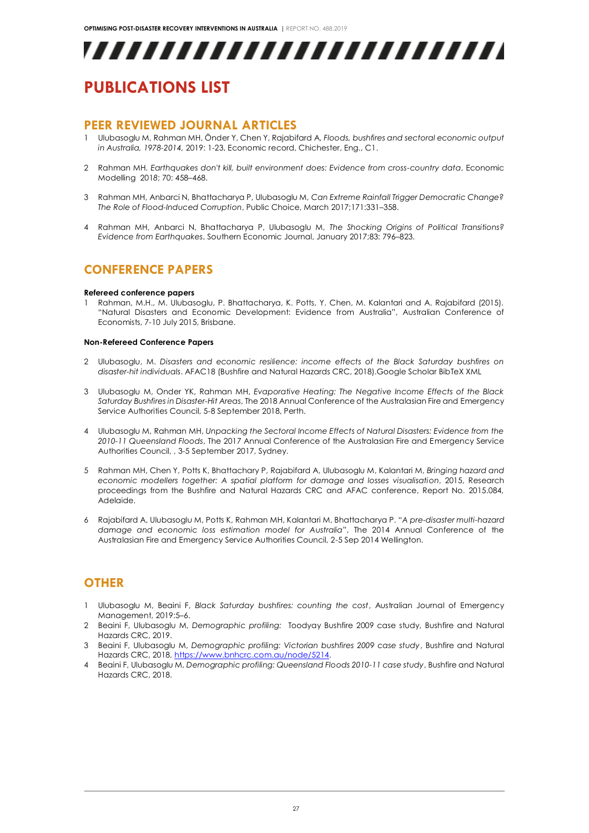## <span id="page-27-0"></span>**PUBLICATIONS LIST**

#### <span id="page-27-1"></span>**PEER REVIEWED JOURNAL ARTICLES**

- 1 Ulubasoglu M, Rahman MH, Önder Y, Chen Y, Rajabifard A, *Floods, bushfires and sectoral economic output in Australia, 1978-2014,* 2019: 1-23, Economic record, Chichester, Eng., C1.
- 2 Rahman MH*. Earthquakes don't kill, built environment does: Evidence from cross-country data*, Economic Modelling 201*8*; 70: 458–468.
- 3 Rahman MH, Anbarci N, Bhattacharya P, Ulubasoglu M, *Can Extreme Rainfall Trigger Democratic Change? The Role of Flood-Induced Corruption*, Public Choice, March 2017;171:331–358.
- <span id="page-27-2"></span>4 Rahman MH, Anbarci N, Bhattacharya P, Ulubasoglu M, *The Shocking Origins of Political Transitions? Evidence from Earthquakes*, Southern Economic Journal, January 2017;83: 796–823.

#### **CONFERENCE PAPERS**

#### **Refereed conference papers**

Rahman, M.H., M. Ulubasoglu, P. Bhattacharya, K. Potts, Y. Chen, M. Kalantari and A. Rajabifard (2015). "Natural Disasters and Economic Development: Evidence from Australia", Australian Conference of Economists, 7-10 July 2015, Brisbane.

#### **Non-Refereed Conference Papers**

- 2 Ulubasoglu, M. *Disasters and economic resilience: income effects of the Black Saturday bushfires on disaster-hit individuals*. AFAC18 (Bushfire and Natural Hazards CRC, 2018).Google Scholar BibTeX XML
- 3 Ulubasoglu M, Onder YK, Rahman MH, *Evaporative Heating: The Negative Income Effects of the Black Saturday Bushfires in Disaster-Hit Areas*, The 2018 Annual Conference of the Australasian Fire and Emergency Service Authorities Council, 5-8 September 2018, Perth.
- 4 Ulubasoglu M, Rahman MH, *Unpacking the Sectoral Income Effects of Natural Disasters: Evidence from the 2010-11 Queensland Floods*, The 2017 Annual Conference of the Australasian Fire and Emergency Service Authorities Council, , 3-5 September 2017, Sydney.
- 5 Rahman MH, Chen Y, Potts K, Bhattachary P, Rajabifard A, Ulubasoglu M, Kalantari M, *Bringing hazard and economic modellers together: A spatial platform for damage and losses visualisation*, 2015, Research proceedings from the Bushfire and Natural Hazards CRC and AFAC conference, Report No. 2015.084, Adelaide.
- 6 Rajabifard A, Ulubasoglu M, Potts K, Rahman MH, Kalantari M, Bhattacharya P. "*A pre-disaster multi-hazard damage and economic loss estimation model for Australia*", The 2014 Annual Conference of the Australasian Fire and Emergency Service Authorities Council, 2-5 Sep 2014 Wellington.

#### <span id="page-27-3"></span>**OTHER**

- 1 Ulubasoglu M, Beaini F, *Black Saturday bushfires: counting the cost*, Australian Journal of Emergency Management, 2019:5–6.
- 2 Beaini F, Ulubasoglu M, *Demographic profiling:* Toodyay Bushfire 2009 case study, Bushfire and Natural Hazards CRC, 2019.
- 3 Beaini F, Ulubasoglu M, *Demographic profiling: Victorian bushfires 2009 case study*, Bushfire and Natural Hazards CRC, 2018[, https://www.bnhcrc.com.au/node/5214.](https://www.bnhcrc.com.au/node/5214)
- 4 Beaini F, Ulubasoglu M, *Demographic profiling: Queensland Floods 2010-11 case study*, Bushfire and Natural Hazards CRC, 2018.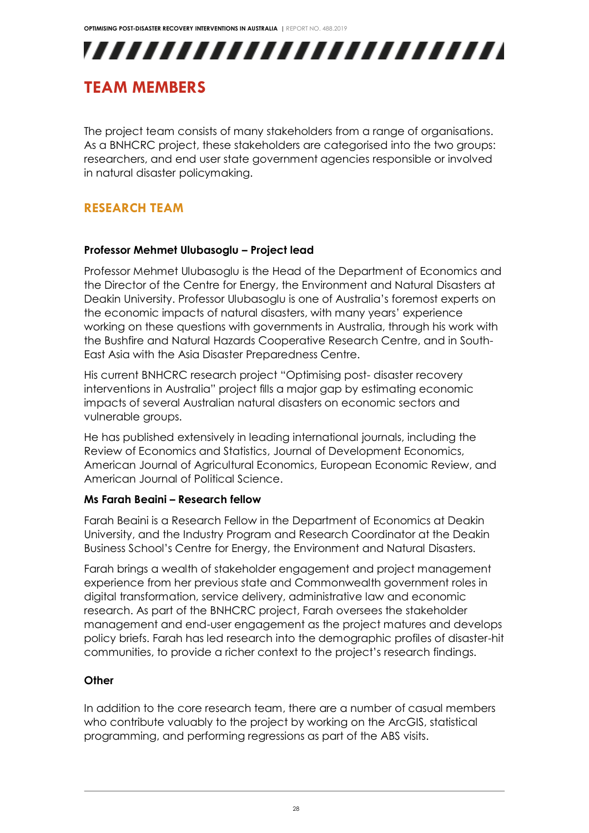# <span id="page-28-0"></span>**TEAM MEMBERS**

The project team consists of many stakeholders from a range of organisations. As a BNHCRC project, these stakeholders are categorised into the two groups: researchers, and end user state government agencies responsible or involved in natural disaster policymaking.

## <span id="page-28-1"></span>**RESEARCH TEAM**

#### **Professor Mehmet Ulubasoglu – Project lead**

Professor Mehmet Ulubasoglu is the Head of the Department of Economics and the Director of the Centre for Energy, the Environment and Natural Disasters at Deakin University. Professor Ulubasoglu is one of Australia's foremost experts on the economic impacts of natural disasters, with many years' experience working on these questions with governments in Australia, through his work with the Bushfire and Natural Hazards Cooperative Research Centre, and in South-East Asia with the Asia Disaster Preparedness Centre.

His current BNHCRC research project "Optimising post- disaster recovery interventions in Australia" project fills a major gap by estimating economic impacts of several Australian natural disasters on economic sectors and vulnerable groups.

He has published extensively in leading international journals, including the Review of Economics and Statistics, Journal of Development Economics, American Journal of Agricultural Economics, European Economic Review, and American Journal of Political Science.

#### **Ms Farah Beaini – Research fellow**

Farah Beaini is a Research Fellow in the Department of Economics at Deakin University, and the Industry Program and Research Coordinator at the Deakin Business School's Centre for Energy, the Environment and Natural Disasters.

Farah brings a wealth of stakeholder engagement and project management experience from her previous state and Commonwealth government roles in digital transformation, service delivery, administrative law and economic research. As part of the BNHCRC project, Farah oversees the stakeholder management and end-user engagement as the project matures and develops policy briefs. Farah has led research into the demographic profiles of disaster-hit communities, to provide a richer context to the project's research findings.

#### **Other**

In addition to the core research team, there are a number of casual members who contribute valuably to the project by working on the ArcGIS, statistical programming, and performing regressions as part of the ABS visits.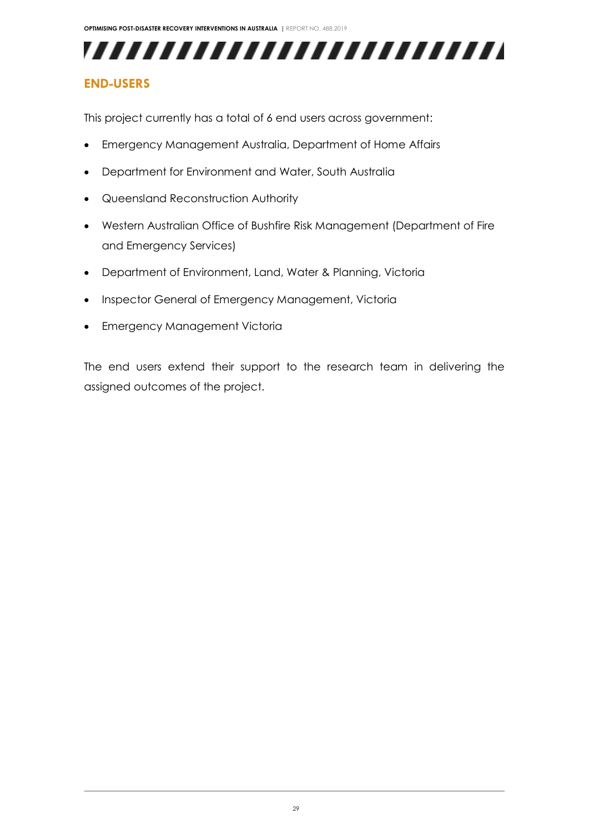///////////////////////////////

## <span id="page-29-0"></span>**END-USERS**

This project currently has a total of 6 end users across government:

- Emergency Management Australia, Department of Home Affairs
- Department for Environment and Water, South Australia
- Queensland Reconstruction Authority
- Western Australian Office of Bushfire Risk Management (Department of Fire and Emergency Services)
- Department of Environment, Land, Water & Planning, Victoria
- Inspector General of Emergency Management, Victoria
- Emergency Management Victoria

The end users extend their support to the research team in delivering the assigned outcomes of the project.